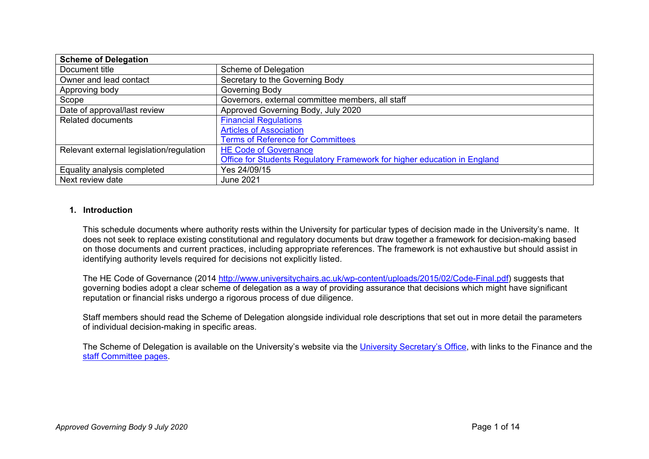| <b>Scheme of Delegation</b>              |                                                                          |
|------------------------------------------|--------------------------------------------------------------------------|
| Document title                           | Scheme of Delegation                                                     |
| Owner and lead contact                   | Secretary to the Governing Body                                          |
| Approving body                           | Governing Body                                                           |
| Scope                                    | Governors, external committee members, all staff                         |
| Date of approval/last review             | Approved Governing Body, July 2020                                       |
| <b>Related documents</b>                 | <b>Financial Regulations</b>                                             |
|                                          | <b>Articles of Association</b>                                           |
|                                          | <b>Terms of Reference for Committees</b>                                 |
| Relevant external legislation/regulation | <b>HE Code of Governance</b>                                             |
|                                          | Office for Students Regulatory Framework for higher education in England |
| Equality analysis completed              | Yes 24/09/15                                                             |
| Next review date                         | June 2021                                                                |

## **1. Introduction**

This schedule documents where authority rests within the University for particular types of decision made in the University's name. It does not seek to replace existing constitutional and regulatory documents but draw together a framework for decision-making based on those documents and current practices, including appropriate references. The framework is not exhaustive but should assist in identifying authority levels required for decisions not explicitly listed.

The HE Code of Governance (2014 [http://www.universitychairs.ac.uk/wp-content/uploads/2015/02/Code-Final.pdf\)](http://www.universitychairs.ac.uk/wp-content/uploads/2015/02/Code-Final.pdf) suggests that governing bodies adopt a clear scheme of delegation as a way of providing assurance that decisions which might have significant reputation or financial risks undergo a rigorous process of due diligence.

Staff members should read the Scheme of Delegation alongside individual role descriptions that set out in more detail the parameters of individual decision-making in specific areas.

The Scheme of Delegation is available on the University's website via the [University Secretary's Office,](https://www.yorksj.ac.uk/university-secretarys-office/) with links to the Finance and the [staff Committee pages.](https://www.yorksj.ac.uk/staff/documents-and-policies/)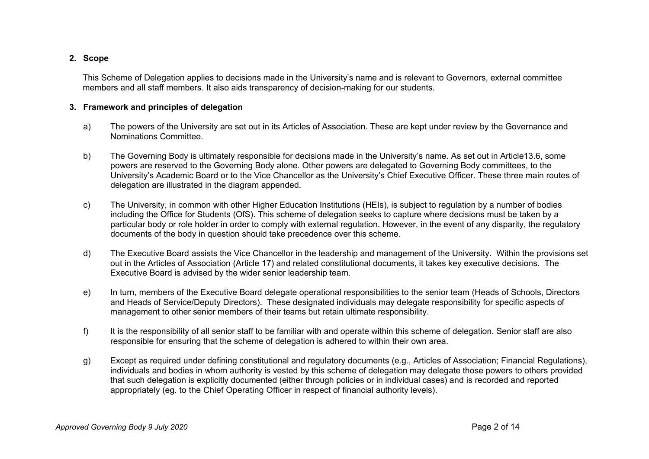# **2. Scope**

This Scheme of Delegation applies to decisions made in the University's name and is relevant to Governors, external committee members and all staff members. It also aids transparency of decision-making for our students.

## **3. Framework and principles of delegation**

- a) The powers of the University are set out in its Articles of Association. These are kept under review by the Governance and Nominations Committee.
- b) The Governing Body is ultimately responsible for decisions made in the University's name. As set out in Article13.6, some powers are reserved to the Governing Body alone. Other powers are delegated to Governing Body committees, to the University's Academic Board or to the Vice Chancellor as the University's Chief Executive Officer. These three main routes of delegation are illustrated in the diagram appended.
- c) The University, in common with other Higher Education Institutions (HEIs), is subject to regulation by a number of bodies including the Office for Students (OfS). This scheme of delegation seeks to capture where decisions must be taken by a particular body or role holder in order to comply with external regulation. However, in the event of any disparity, the regulatory documents of the body in question should take precedence over this scheme.
- d) The Executive Board assists the Vice Chancellor in the leadership and management of the University. Within the provisions set out in the Articles of Association (Article 17) and related constitutional documents, it takes key executive decisions. The Executive Board is advised by the wider senior leadership team.
- e) In turn, members of the Executive Board delegate operational responsibilities to the senior team (Heads of Schools, Directors and Heads of Service/Deputy Directors). These designated individuals may delegate responsibility for specific aspects of management to other senior members of their teams but retain ultimate responsibility.
- f) It is the responsibility of all senior staff to be familiar with and operate within this scheme of delegation. Senior staff are also responsible for ensuring that the scheme of delegation is adhered to within their own area.
- g) Except as required under defining constitutional and regulatory documents (e.g., Articles of Association; Financial Regulations), individuals and bodies in whom authority is vested by this scheme of delegation may delegate those powers to others provided that such delegation is explicitly documented (either through policies or in individual cases) and is recorded and reported appropriately (eg. to the Chief Operating Officer in respect of financial authority levels).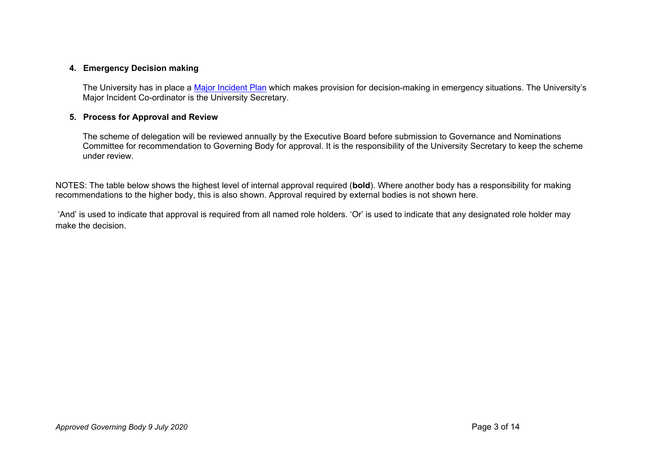# **4. Emergency Decision making**

The University has in place a [Major Incident Plan](https://www.yorksj.ac.uk/major-incident-plan/) which makes provision for decision-making in emergency situations. The University's Major Incident Co-ordinator is the University Secretary.

# **5. Process for Approval and Review**

The scheme of delegation will be reviewed annually by the Executive Board before submission to Governance and Nominations Committee for recommendation to Governing Body for approval. It is the responsibility of the University Secretary to keep the scheme under review.

NOTES: The table below shows the highest level of internal approval required (**bold**). Where another body has a responsibility for making recommendations to the higher body, this is also shown. Approval required by external bodies is not shown here.

'And' is used to indicate that approval is required from all named role holders. 'Or' is used to indicate that any designated role holder may make the decision.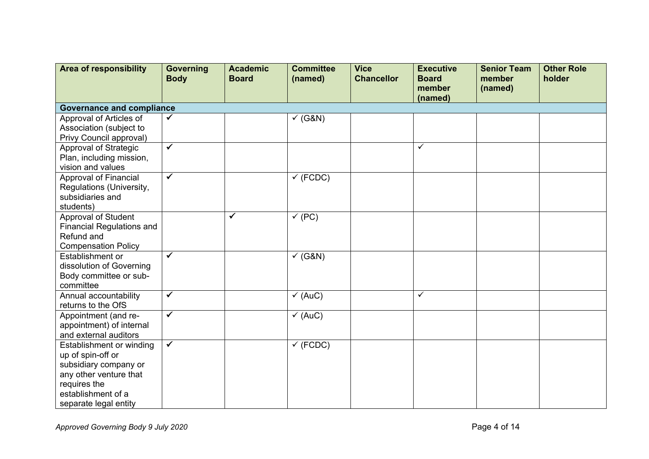| <b>Area of responsibility</b>          | <b>Governing</b><br><b>Body</b>  | <b>Academic</b><br><b>Board</b> | <b>Committee</b><br>(named) | <b>Vice</b><br><b>Chancellor</b> | <b>Executive</b><br><b>Board</b><br>member | <b>Senior Team</b><br>member<br>(named) | <b>Other Role</b><br>holder |  |  |  |  |
|----------------------------------------|----------------------------------|---------------------------------|-----------------------------|----------------------------------|--------------------------------------------|-----------------------------------------|-----------------------------|--|--|--|--|
|                                        |                                  |                                 |                             |                                  | (named)                                    |                                         |                             |  |  |  |  |
|                                        | <b>Governance and compliance</b> |                                 |                             |                                  |                                            |                                         |                             |  |  |  |  |
| Approval of Articles of                | $\checkmark$                     |                                 | $\checkmark$ (G&N)          |                                  |                                            |                                         |                             |  |  |  |  |
| Association (subject to                |                                  |                                 |                             |                                  |                                            |                                         |                             |  |  |  |  |
| Privy Council approval)                |                                  |                                 |                             |                                  |                                            |                                         |                             |  |  |  |  |
| Approval of Strategic                  | $\blacktriangledown$             |                                 |                             |                                  | $\checkmark$                               |                                         |                             |  |  |  |  |
| Plan, including mission,               |                                  |                                 |                             |                                  |                                            |                                         |                             |  |  |  |  |
| vision and values                      |                                  |                                 |                             |                                  |                                            |                                         |                             |  |  |  |  |
| <b>Approval of Financial</b>           | $\overline{\checkmark}$          |                                 | $\checkmark$ (FCDC)         |                                  |                                            |                                         |                             |  |  |  |  |
| Regulations (University,               |                                  |                                 |                             |                                  |                                            |                                         |                             |  |  |  |  |
| subsidiaries and                       |                                  |                                 |                             |                                  |                                            |                                         |                             |  |  |  |  |
| students)                              |                                  |                                 |                             |                                  |                                            |                                         |                             |  |  |  |  |
| Approval of Student                    |                                  | ✓                               | $\checkmark$ (PC)           |                                  |                                            |                                         |                             |  |  |  |  |
| <b>Financial Regulations and</b>       |                                  |                                 |                             |                                  |                                            |                                         |                             |  |  |  |  |
| Refund and                             |                                  |                                 |                             |                                  |                                            |                                         |                             |  |  |  |  |
| <b>Compensation Policy</b>             |                                  |                                 |                             |                                  |                                            |                                         |                             |  |  |  |  |
| Establishment or                       | $\checkmark$                     |                                 | $\checkmark$ (G&N)          |                                  |                                            |                                         |                             |  |  |  |  |
| dissolution of Governing               |                                  |                                 |                             |                                  |                                            |                                         |                             |  |  |  |  |
| Body committee or sub-                 |                                  |                                 |                             |                                  |                                            |                                         |                             |  |  |  |  |
| committee                              | $\checkmark$                     |                                 |                             |                                  |                                            |                                         |                             |  |  |  |  |
| Annual accountability                  |                                  |                                 | $\checkmark$ (AuC)          |                                  | $\checkmark$                               |                                         |                             |  |  |  |  |
| returns to the OfS                     | $\overline{\checkmark}$          |                                 |                             |                                  |                                            |                                         |                             |  |  |  |  |
| Appointment (and re-                   |                                  |                                 | $\checkmark$ (AuC)          |                                  |                                            |                                         |                             |  |  |  |  |
| appointment) of internal               |                                  |                                 |                             |                                  |                                            |                                         |                             |  |  |  |  |
| and external auditors                  | $\checkmark$                     |                                 |                             |                                  |                                            |                                         |                             |  |  |  |  |
| Establishment or winding               |                                  |                                 | $\checkmark$ (FCDC)         |                                  |                                            |                                         |                             |  |  |  |  |
| up of spin-off or                      |                                  |                                 |                             |                                  |                                            |                                         |                             |  |  |  |  |
| subsidiary company or                  |                                  |                                 |                             |                                  |                                            |                                         |                             |  |  |  |  |
| any other venture that<br>requires the |                                  |                                 |                             |                                  |                                            |                                         |                             |  |  |  |  |
| establishment of a                     |                                  |                                 |                             |                                  |                                            |                                         |                             |  |  |  |  |
| separate legal entity                  |                                  |                                 |                             |                                  |                                            |                                         |                             |  |  |  |  |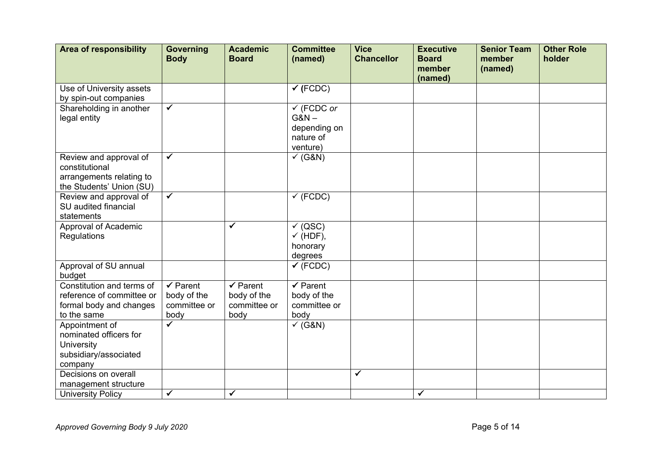| <b>Area of responsibility</b> | <b>Governing</b><br><b>Body</b> | <b>Academic</b><br><b>Board</b> | <b>Committee</b><br>(named) | <b>Vice</b><br><b>Chancellor</b> | <b>Executive</b><br><b>Board</b><br>member | <b>Senior Team</b><br>member | <b>Other Role</b><br>holder |
|-------------------------------|---------------------------------|---------------------------------|-----------------------------|----------------------------------|--------------------------------------------|------------------------------|-----------------------------|
|                               |                                 |                                 |                             |                                  | (named)                                    | (named)                      |                             |
| Use of University assets      |                                 |                                 | $\checkmark$ (FCDC)         |                                  |                                            |                              |                             |
| by spin-out companies         |                                 |                                 |                             |                                  |                                            |                              |                             |
| Shareholding in another       | $\checkmark$                    |                                 | $\checkmark$ (FCDC or       |                                  |                                            |                              |                             |
| legal entity                  |                                 |                                 | $G&N-$                      |                                  |                                            |                              |                             |
|                               |                                 |                                 | depending on                |                                  |                                            |                              |                             |
|                               |                                 |                                 | nature of                   |                                  |                                            |                              |                             |
|                               |                                 |                                 | venture)                    |                                  |                                            |                              |                             |
| Review and approval of        | $\checkmark$                    |                                 | $\checkmark$ (G&N)          |                                  |                                            |                              |                             |
| constitutional                |                                 |                                 |                             |                                  |                                            |                              |                             |
| arrangements relating to      |                                 |                                 |                             |                                  |                                            |                              |                             |
| the Students' Union (SU)      |                                 |                                 |                             |                                  |                                            |                              |                             |
| Review and approval of        | $\blacktriangledown$            |                                 | $\checkmark$ (FCDC)         |                                  |                                            |                              |                             |
| SU audited financial          |                                 |                                 |                             |                                  |                                            |                              |                             |
| statements                    |                                 |                                 |                             |                                  |                                            |                              |                             |
| Approval of Academic          |                                 | ✓                               | $\checkmark$ (QSC)          |                                  |                                            |                              |                             |
| Regulations                   |                                 |                                 | $\checkmark$ (HDF),         |                                  |                                            |                              |                             |
|                               |                                 |                                 | honorary                    |                                  |                                            |                              |                             |
|                               |                                 |                                 | degrees                     |                                  |                                            |                              |                             |
| Approval of SU annual         |                                 |                                 | $\checkmark$ (FCDC)         |                                  |                                            |                              |                             |
| budget                        |                                 |                                 |                             |                                  |                                            |                              |                             |
| Constitution and terms of     | $\checkmark$ Parent             | $\checkmark$ Parent             | $\checkmark$ Parent         |                                  |                                            |                              |                             |
| reference of committee or     | body of the                     | body of the                     | body of the                 |                                  |                                            |                              |                             |
| formal body and changes       | committee or                    | committee or                    | committee or                |                                  |                                            |                              |                             |
| to the same                   | body<br>✓                       | body                            | body                        |                                  |                                            |                              |                             |
| Appointment of                |                                 |                                 | $\checkmark$ (G&N)          |                                  |                                            |                              |                             |
| nominated officers for        |                                 |                                 |                             |                                  |                                            |                              |                             |
| University                    |                                 |                                 |                             |                                  |                                            |                              |                             |
| subsidiary/associated         |                                 |                                 |                             |                                  |                                            |                              |                             |
| company                       |                                 |                                 |                             | $\checkmark$                     |                                            |                              |                             |
| Decisions on overall          |                                 |                                 |                             |                                  |                                            |                              |                             |
| management structure          | $\checkmark$                    | $\blacktriangledown$            |                             |                                  | $\checkmark$                               |                              |                             |
| <b>University Policy</b>      |                                 |                                 |                             |                                  |                                            |                              |                             |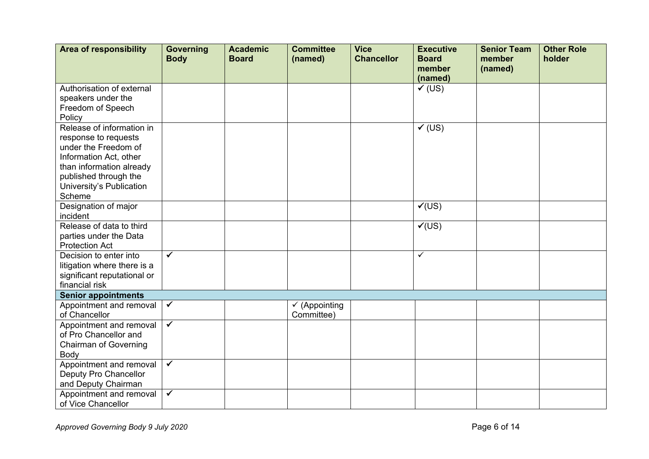| <b>Area of responsibility</b>                                                                                                                                                                  | <b>Governing</b><br><b>Body</b> | <b>Academic</b><br><b>Board</b> | <b>Committee</b><br>(named)            | <b>Vice</b><br><b>Chancellor</b> | <b>Executive</b><br><b>Board</b><br>member | <b>Senior Team</b><br>member<br>(named) | <b>Other Role</b><br>holder |
|------------------------------------------------------------------------------------------------------------------------------------------------------------------------------------------------|---------------------------------|---------------------------------|----------------------------------------|----------------------------------|--------------------------------------------|-----------------------------------------|-----------------------------|
|                                                                                                                                                                                                |                                 |                                 |                                        |                                  | (named)                                    |                                         |                             |
| Authorisation of external<br>speakers under the<br>Freedom of Speech<br>Policy                                                                                                                 |                                 |                                 |                                        |                                  | $V$ (US)                                   |                                         |                             |
| Release of information in<br>response to requests<br>under the Freedom of<br>Information Act, other<br>than information already<br>published through the<br>University's Publication<br>Scheme |                                 |                                 |                                        |                                  | $V$ (US)                                   |                                         |                             |
| Designation of major<br>incident                                                                                                                                                               |                                 |                                 |                                        |                                  | V(US)                                      |                                         |                             |
| Release of data to third<br>parties under the Data<br><b>Protection Act</b>                                                                                                                    |                                 |                                 |                                        |                                  | $\sqrt{(US)}$                              |                                         |                             |
| Decision to enter into<br>litigation where there is a<br>significant reputational or<br>financial risk                                                                                         | $\checkmark$                    |                                 |                                        |                                  | $\checkmark$                               |                                         |                             |
| <b>Senior appointments</b>                                                                                                                                                                     |                                 |                                 |                                        |                                  |                                            |                                         |                             |
| Appointment and removal<br>of Chancellor                                                                                                                                                       | $\checkmark$                    |                                 | $\checkmark$ (Appointing<br>Committee) |                                  |                                            |                                         |                             |
| Appointment and removal<br>of Pro Chancellor and<br><b>Chairman of Governing</b><br>Body                                                                                                       | $\blacktriangledown$            |                                 |                                        |                                  |                                            |                                         |                             |
| Appointment and removal<br>Deputy Pro Chancellor<br>and Deputy Chairman                                                                                                                        | $\overline{\checkmark}$         |                                 |                                        |                                  |                                            |                                         |                             |
| Appointment and removal<br>of Vice Chancellor                                                                                                                                                  | $\checkmark$                    |                                 |                                        |                                  |                                            |                                         |                             |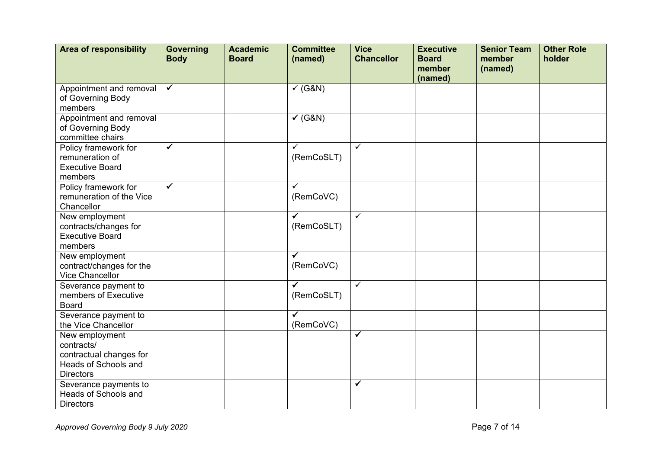| <b>Area of responsibility</b>                                                                       | <b>Governing</b><br><b>Body</b> | <b>Academic</b><br><b>Board</b> | <b>Committee</b><br>(named) | <b>Vice</b><br><b>Chancellor</b> | <b>Executive</b><br><b>Board</b><br>member<br>(named) | <b>Senior Team</b><br>member<br>(named) | <b>Other Role</b><br>holder |
|-----------------------------------------------------------------------------------------------------|---------------------------------|---------------------------------|-----------------------------|----------------------------------|-------------------------------------------------------|-----------------------------------------|-----------------------------|
| Appointment and removal<br>of Governing Body<br>members                                             | $\blacktriangledown$            |                                 | $\checkmark$ (G&N)          |                                  |                                                       |                                         |                             |
| Appointment and removal<br>of Governing Body<br>committee chairs                                    |                                 |                                 | $\checkmark$ (G&N)          |                                  |                                                       |                                         |                             |
| Policy framework for<br>remuneration of<br><b>Executive Board</b><br>members                        | $\checkmark$                    |                                 | ✓<br>(RemCoSLT)             | $\checkmark$                     |                                                       |                                         |                             |
| Policy framework for<br>remuneration of the Vice<br>Chancellor                                      | $\checkmark$                    |                                 | ✓<br>(RemCoVC)              |                                  |                                                       |                                         |                             |
| New employment<br>contracts/changes for<br><b>Executive Board</b><br>members                        |                                 |                                 | ✓<br>(RemCoSLT)             | $\checkmark$                     |                                                       |                                         |                             |
| New employment<br>contract/changes for the<br>Vice Chancellor                                       |                                 |                                 | ✓<br>(RemCoVC)              |                                  |                                                       |                                         |                             |
| Severance payment to<br>members of Executive<br><b>Board</b>                                        |                                 |                                 | ✔<br>(RemCoSLT)             | $\checkmark$                     |                                                       |                                         |                             |
| Severance payment to<br>the Vice Chancellor                                                         |                                 |                                 | $\checkmark$<br>(RemCoVC)   |                                  |                                                       |                                         |                             |
| New employment<br>contracts/<br>contractual changes for<br>Heads of Schools and<br><b>Directors</b> |                                 |                                 |                             | $\overline{\checkmark}$          |                                                       |                                         |                             |
| Severance payments to<br>Heads of Schools and<br><b>Directors</b>                                   |                                 |                                 |                             | $\checkmark$                     |                                                       |                                         |                             |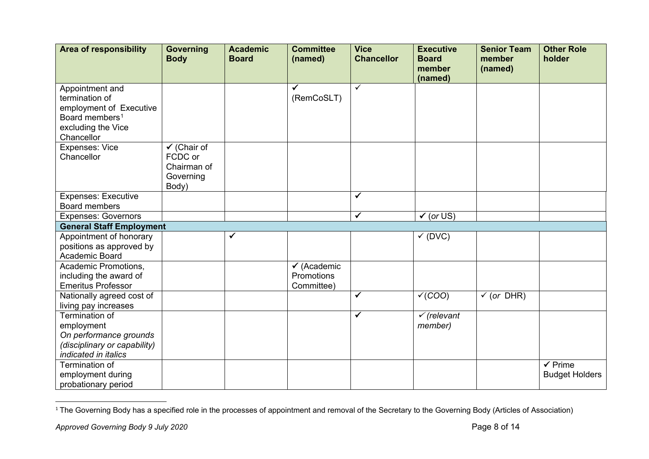<span id="page-7-0"></span>

| <b>Area of responsibility</b>                         | <b>Governing</b><br><b>Body</b> | <b>Academic</b><br><b>Board</b> | <b>Committee</b><br>(named) | <b>Vice</b><br><b>Chancellor</b> | <b>Executive</b><br><b>Board</b><br>member | <b>Senior Team</b><br>member<br>(named) | <b>Other Role</b><br>holder |
|-------------------------------------------------------|---------------------------------|---------------------------------|-----------------------------|----------------------------------|--------------------------------------------|-----------------------------------------|-----------------------------|
|                                                       |                                 |                                 |                             |                                  | (named)                                    |                                         |                             |
| Appointment and<br>termination of                     |                                 |                                 | (RemCoSLT)                  | $\checkmark$                     |                                            |                                         |                             |
| employment of Executive<br>Board members <sup>1</sup> |                                 |                                 |                             |                                  |                                            |                                         |                             |
| excluding the Vice                                    |                                 |                                 |                             |                                  |                                            |                                         |                             |
| Chancellor                                            |                                 |                                 |                             |                                  |                                            |                                         |                             |
| <b>Expenses: Vice</b>                                 | $\checkmark$ (Chair of          |                                 |                             |                                  |                                            |                                         |                             |
| Chancellor                                            | FCDC or                         |                                 |                             |                                  |                                            |                                         |                             |
|                                                       | Chairman of                     |                                 |                             |                                  |                                            |                                         |                             |
|                                                       | Governing                       |                                 |                             |                                  |                                            |                                         |                             |
|                                                       | Body)                           |                                 |                             |                                  |                                            |                                         |                             |
| <b>Expenses: Executive</b>                            |                                 |                                 |                             | ✓                                |                                            |                                         |                             |
| Board members                                         |                                 |                                 |                             |                                  |                                            |                                         |                             |
| <b>Expenses: Governors</b>                            |                                 |                                 |                             | ✓                                | $\checkmark$ (or US)                       |                                         |                             |
| <b>General Staff Employment</b>                       |                                 |                                 |                             |                                  |                                            |                                         |                             |
| Appointment of honorary                               |                                 | ✔                               |                             |                                  | $\checkmark$ (DVC)                         |                                         |                             |
| positions as approved by                              |                                 |                                 |                             |                                  |                                            |                                         |                             |
| Academic Board                                        |                                 |                                 |                             |                                  |                                            |                                         |                             |
| Academic Promotions,                                  |                                 |                                 | $\checkmark$ (Academic      |                                  |                                            |                                         |                             |
| including the award of                                |                                 |                                 | Promotions                  |                                  |                                            |                                         |                             |
| <b>Emeritus Professor</b>                             |                                 |                                 | Committee)                  |                                  |                                            |                                         |                             |
| Nationally agreed cost of                             |                                 |                                 |                             | $\checkmark$                     | V(COO)                                     | $\checkmark$ (or DHR)                   |                             |
| living pay increases                                  |                                 |                                 |                             |                                  |                                            |                                         |                             |
| Termination of                                        |                                 |                                 |                             | ✓                                | $\checkmark$ (relevant                     |                                         |                             |
| employment                                            |                                 |                                 |                             |                                  | member)                                    |                                         |                             |
| On performance grounds                                |                                 |                                 |                             |                                  |                                            |                                         |                             |
| (disciplinary or capability)                          |                                 |                                 |                             |                                  |                                            |                                         |                             |
| indicated in italics                                  |                                 |                                 |                             |                                  |                                            |                                         |                             |
| Termination of                                        |                                 |                                 |                             |                                  |                                            |                                         | $\sqrt{P}$ rime             |
| employment during                                     |                                 |                                 |                             |                                  |                                            |                                         | <b>Budget Holders</b>       |
| probationary period                                   |                                 |                                 |                             |                                  |                                            |                                         |                             |

<sup>&</sup>lt;sup>1</sup> The Governing Body has a specified role in the processes of appointment and removal of the Secretary to the Governing Body (Articles of Association)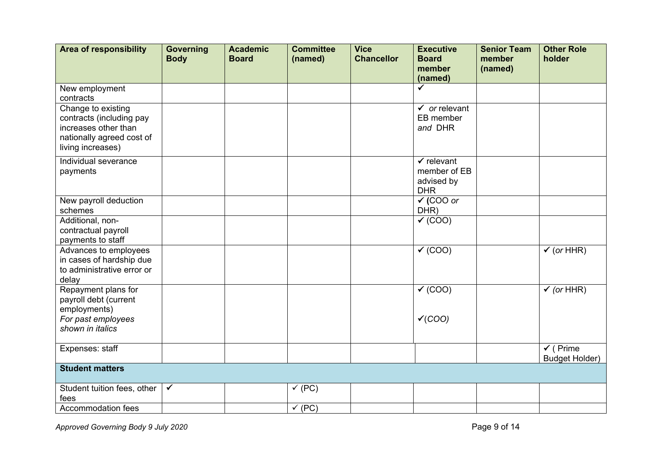| <b>Area of responsibility</b>                                                                                            | <b>Governing</b><br><b>Body</b> | <b>Academic</b><br><b>Board</b> | <b>Committee</b><br>(named) | <b>Vice</b><br><b>Chancellor</b> | <b>Executive</b><br><b>Board</b><br>member                        | <b>Senior Team</b><br>member<br>(named) | <b>Other Role</b><br>holder                  |
|--------------------------------------------------------------------------------------------------------------------------|---------------------------------|---------------------------------|-----------------------------|----------------------------------|-------------------------------------------------------------------|-----------------------------------------|----------------------------------------------|
|                                                                                                                          |                                 |                                 |                             |                                  | (named)                                                           |                                         |                                              |
| New employment<br>contracts                                                                                              |                                 |                                 |                             |                                  | $\checkmark$                                                      |                                         |                                              |
| Change to existing<br>contracts (including pay<br>increases other than<br>nationally agreed cost of<br>living increases) |                                 |                                 |                             |                                  | $\checkmark$ or relevant<br>EB member<br>and DHR                  |                                         |                                              |
| Individual severance<br>payments                                                                                         |                                 |                                 |                             |                                  | $\checkmark$ relevant<br>member of EB<br>advised by<br><b>DHR</b> |                                         |                                              |
| New payroll deduction<br>schemes                                                                                         |                                 |                                 |                             |                                  | $\checkmark$ (COO or<br>DHR)                                      |                                         |                                              |
| Additional, non-<br>contractual payroll<br>payments to staff                                                             |                                 |                                 |                             |                                  | $\checkmark$ (COO)                                                |                                         |                                              |
| Advances to employees<br>in cases of hardship due<br>to administrative error or<br>delay                                 |                                 |                                 |                             |                                  | $\checkmark$ (COO)                                                |                                         | $\checkmark$ (or HHR)                        |
| Repayment plans for<br>payroll debt (current<br>employments)                                                             |                                 |                                 |                             |                                  | $\sqrt{(COO)}$                                                    |                                         | $\sqrt{(or HHR)}$                            |
| For past employees<br>shown in italics                                                                                   |                                 |                                 |                             |                                  | V(COO)                                                            |                                         |                                              |
| Expenses: staff                                                                                                          |                                 |                                 |                             |                                  |                                                                   |                                         | $\checkmark$ (Prime<br><b>Budget Holder)</b> |
| <b>Student matters</b>                                                                                                   |                                 |                                 |                             |                                  |                                                                   |                                         |                                              |
| Student tuition fees, other<br>fees                                                                                      | $\checkmark$                    |                                 | $\checkmark$ (PC)           |                                  |                                                                   |                                         |                                              |
| Accommodation fees                                                                                                       |                                 |                                 | $\checkmark$ (PC)           |                                  |                                                                   |                                         |                                              |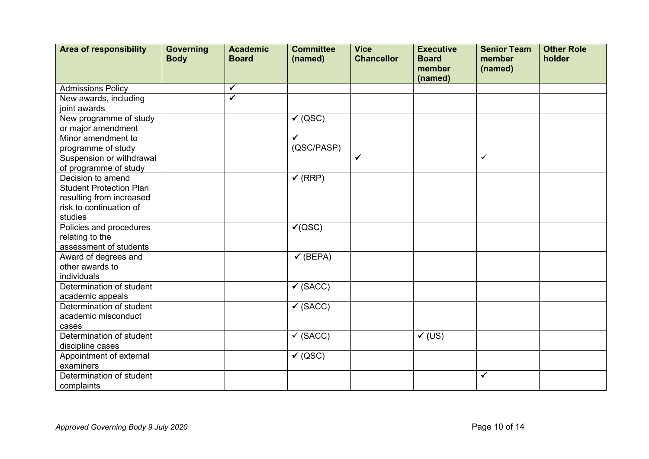| <b>Area of responsibility</b>             | <b>Governing</b><br><b>Body</b> | <b>Academic</b><br><b>Board</b> | <b>Committee</b><br>(named) | <b>Vice</b><br><b>Chancellor</b> | <b>Executive</b><br><b>Board</b> | <b>Senior Team</b><br>member | <b>Other Role</b><br>holder |
|-------------------------------------------|---------------------------------|---------------------------------|-----------------------------|----------------------------------|----------------------------------|------------------------------|-----------------------------|
|                                           |                                 |                                 |                             |                                  | member<br>(named)                | (named)                      |                             |
| <b>Admissions Policy</b>                  |                                 | $\checkmark$                    |                             |                                  |                                  |                              |                             |
| New awards, including                     |                                 | $\overline{\checkmark}$         |                             |                                  |                                  |                              |                             |
| joint awards                              |                                 |                                 |                             |                                  |                                  |                              |                             |
| New programme of study                    |                                 |                                 | $\checkmark$ (QSC)          |                                  |                                  |                              |                             |
| or major amendment                        |                                 |                                 |                             |                                  |                                  |                              |                             |
| Minor amendment to                        |                                 |                                 | $\checkmark$                |                                  |                                  |                              |                             |
| programme of study                        |                                 |                                 | (QSC/PASP)                  |                                  |                                  |                              |                             |
| Suspension or withdrawal                  |                                 |                                 |                             | $\checkmark$                     |                                  | $\checkmark$                 |                             |
| of programme of study                     |                                 |                                 |                             |                                  |                                  |                              |                             |
| Decision to amend                         |                                 |                                 | $\checkmark$ (RRP)          |                                  |                                  |                              |                             |
| <b>Student Protection Plan</b>            |                                 |                                 |                             |                                  |                                  |                              |                             |
| resulting from increased                  |                                 |                                 |                             |                                  |                                  |                              |                             |
| risk to continuation of                   |                                 |                                 |                             |                                  |                                  |                              |                             |
| studies                                   |                                 |                                 |                             |                                  |                                  |                              |                             |
| Policies and procedures                   |                                 |                                 | $\checkmark$ (QSC)          |                                  |                                  |                              |                             |
| relating to the<br>assessment of students |                                 |                                 |                             |                                  |                                  |                              |                             |
| Award of degrees and                      |                                 |                                 | $\checkmark$ (BEPA)         |                                  |                                  |                              |                             |
| other awards to                           |                                 |                                 |                             |                                  |                                  |                              |                             |
| individuals                               |                                 |                                 |                             |                                  |                                  |                              |                             |
| Determination of student                  |                                 |                                 | $\checkmark$ (SACC)         |                                  |                                  |                              |                             |
| academic appeals                          |                                 |                                 |                             |                                  |                                  |                              |                             |
| Determination of student                  |                                 |                                 | $\checkmark$ (SACC)         |                                  |                                  |                              |                             |
| academic misconduct                       |                                 |                                 |                             |                                  |                                  |                              |                             |
| cases                                     |                                 |                                 |                             |                                  |                                  |                              |                             |
| Determination of student                  |                                 |                                 | $\checkmark$ (SACC)         |                                  | $\overline{\checkmark}$ (US)     |                              |                             |
| discipline cases                          |                                 |                                 |                             |                                  |                                  |                              |                             |
| Appointment of external                   |                                 |                                 | $\sqrt{(QSC)}$              |                                  |                                  |                              |                             |
| examiners                                 |                                 |                                 |                             |                                  |                                  |                              |                             |
| Determination of student                  |                                 |                                 |                             |                                  |                                  | $\checkmark$                 |                             |
| complaints                                |                                 |                                 |                             |                                  |                                  |                              |                             |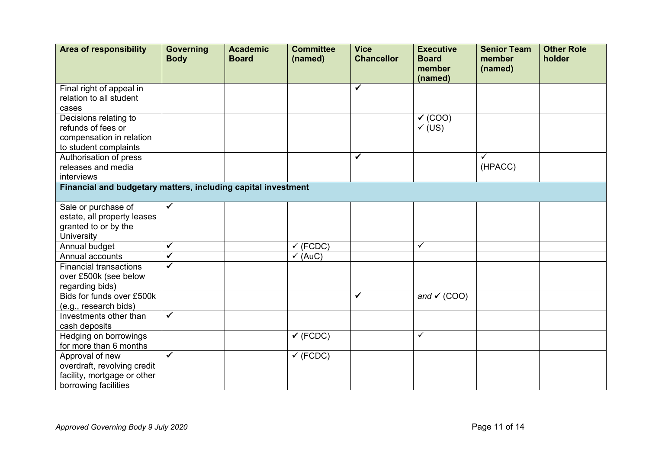| <b>Area of responsibility</b>                                 | <b>Governing</b><br><b>Body</b> | <b>Academic</b><br><b>Board</b> | <b>Committee</b><br>(named) | <b>Vice</b><br><b>Chancellor</b> | <b>Executive</b><br><b>Board</b><br>member<br>(named) | <b>Senior Team</b><br>member<br>(named) | <b>Other Role</b><br>holder |
|---------------------------------------------------------------|---------------------------------|---------------------------------|-----------------------------|----------------------------------|-------------------------------------------------------|-----------------------------------------|-----------------------------|
| Final right of appeal in                                      |                                 |                                 |                             | $\checkmark$                     |                                                       |                                         |                             |
| relation to all student                                       |                                 |                                 |                             |                                  |                                                       |                                         |                             |
| cases                                                         |                                 |                                 |                             |                                  |                                                       |                                         |                             |
| Decisions relating to                                         |                                 |                                 |                             |                                  | $\checkmark$ (COO)                                    |                                         |                             |
| refunds of fees or                                            |                                 |                                 |                             |                                  | $\checkmark$ (US)                                     |                                         |                             |
| compensation in relation                                      |                                 |                                 |                             |                                  |                                                       |                                         |                             |
| to student complaints                                         |                                 |                                 |                             |                                  |                                                       |                                         |                             |
| Authorisation of press                                        |                                 |                                 |                             | ✓                                |                                                       | $\checkmark$                            |                             |
| releases and media                                            |                                 |                                 |                             |                                  |                                                       | (HPACC)                                 |                             |
| interviews                                                    |                                 |                                 |                             |                                  |                                                       |                                         |                             |
| Financial and budgetary matters, including capital investment |                                 |                                 |                             |                                  |                                                       |                                         |                             |
|                                                               |                                 |                                 |                             |                                  |                                                       |                                         |                             |
| Sale or purchase of                                           | $\checkmark$                    |                                 |                             |                                  |                                                       |                                         |                             |
| estate, all property leases                                   |                                 |                                 |                             |                                  |                                                       |                                         |                             |
| granted to or by the                                          |                                 |                                 |                             |                                  |                                                       |                                         |                             |
| University                                                    |                                 |                                 |                             |                                  |                                                       |                                         |                             |
| Annual budget                                                 | ✓                               |                                 | $\checkmark$ (FCDC)         |                                  | $\checkmark$                                          |                                         |                             |
| Annual accounts                                               | $\overline{\checkmark}$         |                                 | $\checkmark$ (AuC)          |                                  |                                                       |                                         |                             |
| <b>Financial transactions</b>                                 | ✓                               |                                 |                             |                                  |                                                       |                                         |                             |
| over £500k (see below                                         |                                 |                                 |                             |                                  |                                                       |                                         |                             |
| regarding bids)                                               |                                 |                                 |                             |                                  |                                                       |                                         |                             |
| Bids for funds over £500k                                     |                                 |                                 |                             | ✓                                | and $\checkmark$ (COO)                                |                                         |                             |
| (e.g., research bids)                                         |                                 |                                 |                             |                                  |                                                       |                                         |                             |
| Investments other than                                        | $\checkmark$                    |                                 |                             |                                  |                                                       |                                         |                             |
| cash deposits                                                 |                                 |                                 |                             |                                  |                                                       |                                         |                             |
| Hedging on borrowings                                         |                                 |                                 | $\checkmark$ (FCDC)         |                                  | $\checkmark$                                          |                                         |                             |
| for more than 6 months                                        |                                 |                                 |                             |                                  |                                                       |                                         |                             |
| Approval of new                                               | $\checkmark$                    |                                 | $\checkmark$ (FCDC)         |                                  |                                                       |                                         |                             |
| overdraft, revolving credit                                   |                                 |                                 |                             |                                  |                                                       |                                         |                             |
| facility, mortgage or other                                   |                                 |                                 |                             |                                  |                                                       |                                         |                             |
| borrowing facilities                                          |                                 |                                 |                             |                                  |                                                       |                                         |                             |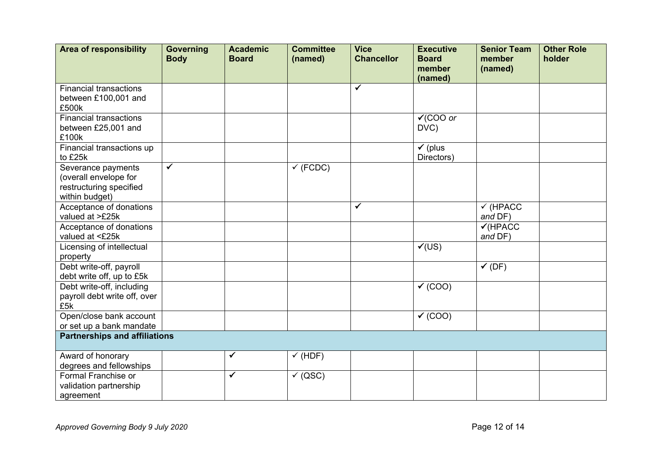| <b>Area of responsibility</b>        | <b>Governing</b><br><b>Body</b> | <b>Academic</b><br><b>Board</b> | <b>Committee</b><br>(named) | <b>Vice</b><br><b>Chancellor</b> | <b>Executive</b><br><b>Board</b> | <b>Senior Team</b><br>member | <b>Other Role</b><br>holder |
|--------------------------------------|---------------------------------|---------------------------------|-----------------------------|----------------------------------|----------------------------------|------------------------------|-----------------------------|
|                                      |                                 |                                 |                             |                                  | member<br>(named)                | (named)                      |                             |
| <b>Financial transactions</b>        |                                 |                                 |                             | ✓                                |                                  |                              |                             |
| between £100,001 and                 |                                 |                                 |                             |                                  |                                  |                              |                             |
| £500k                                |                                 |                                 |                             |                                  |                                  |                              |                             |
| <b>Financial transactions</b>        |                                 |                                 |                             |                                  | $\sqrt{1000}$ or                 |                              |                             |
| between £25,001 and                  |                                 |                                 |                             |                                  | DVC)                             |                              |                             |
| £100k                                |                                 |                                 |                             |                                  |                                  |                              |                             |
| Financial transactions up            |                                 |                                 |                             |                                  | $\checkmark$ (plus               |                              |                             |
| to £25k                              |                                 |                                 |                             |                                  | Directors)                       |                              |                             |
| Severance payments                   | $\checkmark$                    |                                 | $\sqrt{}$ (FCDC)            |                                  |                                  |                              |                             |
| (overall envelope for                |                                 |                                 |                             |                                  |                                  |                              |                             |
| restructuring specified              |                                 |                                 |                             |                                  |                                  |                              |                             |
| within budget)                       |                                 |                                 |                             |                                  |                                  |                              |                             |
| Acceptance of donations              |                                 |                                 |                             | $\checkmark$                     |                                  | $\checkmark$ (HPACC          |                             |
| valued at >£25k                      |                                 |                                 |                             |                                  |                                  | and DF)                      |                             |
| Acceptance of donations              |                                 |                                 |                             |                                  |                                  | $V$ (HPACC                   |                             |
| valued at <£25k                      |                                 |                                 |                             |                                  |                                  | and DF)                      |                             |
| Licensing of intellectual            |                                 |                                 |                             |                                  | V(US)                            |                              |                             |
| property                             |                                 |                                 |                             |                                  |                                  |                              |                             |
| Debt write-off, payroll              |                                 |                                 |                             |                                  |                                  | $\checkmark$ (DF)            |                             |
| debt write off, up to £5k            |                                 |                                 |                             |                                  |                                  |                              |                             |
| Debt write-off, including            |                                 |                                 |                             |                                  | $\checkmark$ (COO)               |                              |                             |
| payroll debt write off, over<br>£5k  |                                 |                                 |                             |                                  |                                  |                              |                             |
| Open/close bank account              |                                 |                                 |                             |                                  | $\checkmark$ (COO)               |                              |                             |
| or set up a bank mandate             |                                 |                                 |                             |                                  |                                  |                              |                             |
| <b>Partnerships and affiliations</b> |                                 |                                 |                             |                                  |                                  |                              |                             |
|                                      |                                 |                                 |                             |                                  |                                  |                              |                             |
| Award of honorary                    |                                 | ✔                               | $\checkmark$ (HDF)          |                                  |                                  |                              |                             |
| degrees and fellowships              |                                 |                                 |                             |                                  |                                  |                              |                             |
| Formal Franchise or                  |                                 | ✓                               | $\checkmark$ (QSC)          |                                  |                                  |                              |                             |
| validation partnership               |                                 |                                 |                             |                                  |                                  |                              |                             |
| agreement                            |                                 |                                 |                             |                                  |                                  |                              |                             |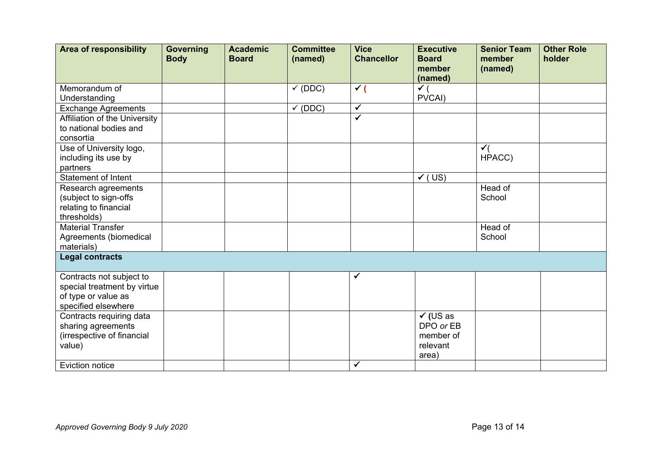| <b>Area of responsibility</b>                | <b>Governing</b><br><b>Body</b> | <b>Academic</b><br><b>Board</b> | <b>Committee</b><br>(named) | <b>Vice</b><br><b>Chancellor</b> | <b>Executive</b><br><b>Board</b><br>member<br>(named) | <b>Senior Team</b><br>member<br>(named) | <b>Other Role</b><br>holder |
|----------------------------------------------|---------------------------------|---------------------------------|-----------------------------|----------------------------------|-------------------------------------------------------|-----------------------------------------|-----------------------------|
| Memorandum of                                |                                 |                                 | $\checkmark$ (DDC)          | $\checkmark$                     | $\checkmark$ (                                        |                                         |                             |
| Understanding                                |                                 |                                 |                             |                                  | PVCAI)                                                |                                         |                             |
| <b>Exchange Agreements</b>                   |                                 |                                 | $\checkmark$ (DDC)          | $\overline{\checkmark}$          |                                                       |                                         |                             |
| Affiliation of the University                |                                 |                                 |                             | ✓                                |                                                       |                                         |                             |
| to national bodies and                       |                                 |                                 |                             |                                  |                                                       |                                         |                             |
| consortia                                    |                                 |                                 |                             |                                  |                                                       |                                         |                             |
| Use of University logo,                      |                                 |                                 |                             |                                  |                                                       | $\checkmark$                            |                             |
| including its use by                         |                                 |                                 |                             |                                  |                                                       | HPACC)                                  |                             |
| partners<br><b>Statement of Intent</b>       |                                 |                                 |                             |                                  | $\checkmark$<br>(US)                                  |                                         |                             |
|                                              |                                 |                                 |                             |                                  |                                                       | Head of                                 |                             |
| Research agreements<br>(subject to sign-offs |                                 |                                 |                             |                                  |                                                       | School                                  |                             |
| relating to financial                        |                                 |                                 |                             |                                  |                                                       |                                         |                             |
| thresholds)                                  |                                 |                                 |                             |                                  |                                                       |                                         |                             |
| <b>Material Transfer</b>                     |                                 |                                 |                             |                                  |                                                       | Head of                                 |                             |
| Agreements (biomedical                       |                                 |                                 |                             |                                  |                                                       | School                                  |                             |
| materials)                                   |                                 |                                 |                             |                                  |                                                       |                                         |                             |
| <b>Legal contracts</b>                       |                                 |                                 |                             |                                  |                                                       |                                         |                             |
|                                              |                                 |                                 |                             |                                  |                                                       |                                         |                             |
| Contracts not subject to                     |                                 |                                 |                             |                                  |                                                       |                                         |                             |
| special treatment by virtue                  |                                 |                                 |                             |                                  |                                                       |                                         |                             |
| of type or value as                          |                                 |                                 |                             |                                  |                                                       |                                         |                             |
| specified elsewhere                          |                                 |                                 |                             |                                  |                                                       |                                         |                             |
| Contracts requiring data                     |                                 |                                 |                             |                                  | $\checkmark$ (US as                                   |                                         |                             |
| sharing agreements                           |                                 |                                 |                             |                                  | DPO or EB                                             |                                         |                             |
| (irrespective of financial                   |                                 |                                 |                             |                                  | member of                                             |                                         |                             |
| value)                                       |                                 |                                 |                             |                                  | relevant                                              |                                         |                             |
|                                              |                                 |                                 |                             |                                  | area)                                                 |                                         |                             |
| <b>Eviction notice</b>                       |                                 |                                 |                             | $\checkmark$                     |                                                       |                                         |                             |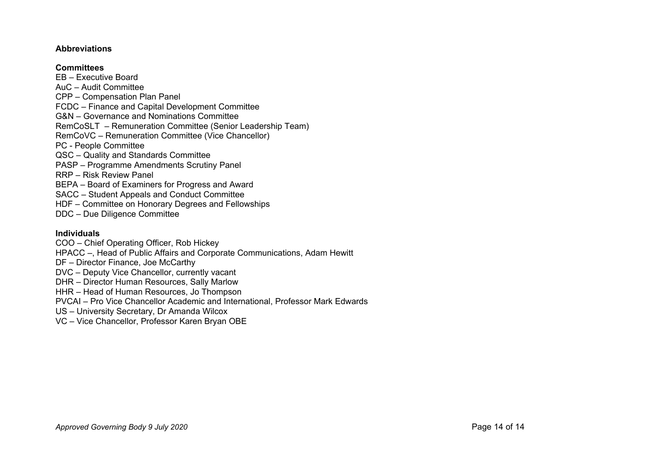### **Abbreviations**

### **Committees**

EB – Executive Board AuC – Audit Committee CPP – Compensation Plan Panel FCDC – Finance and Capital Development Committee G&N – Governance and Nominations Committee RemCoSLT – Remuneration Committee (Senior Leadership Team) RemCoVC – Remuneration Committee (Vice Chancellor) PC - People Committee QSC – Quality and Standards Committee PASP – Programme Amendments Scrutiny Panel RRP – Risk Review Panel BEPA – Board of Examiners for Progress and Award SACC – Student Appeals and Conduct Committee HDF – Committee on Honorary Degrees and Fellowships DDC – Due Diligence Committee

## **Individuals**

COO – Chief Operating Officer, Rob Hickey

HPACC –, Head of Public Affairs and Corporate Communications, Adam Hewitt

- DF Director Finance, Joe McCarthy
- DVC Deputy Vice Chancellor, currently vacant

DHR – Director Human Resources, Sally Marlow

HHR – Head of Human Resources, Jo Thompson

PVCAI – Pro Vice Chancellor Academic and International, Professor Mark Edwards

US – University Secretary, Dr Amanda Wilcox

VC – Vice Chancellor, Professor Karen Bryan OBE